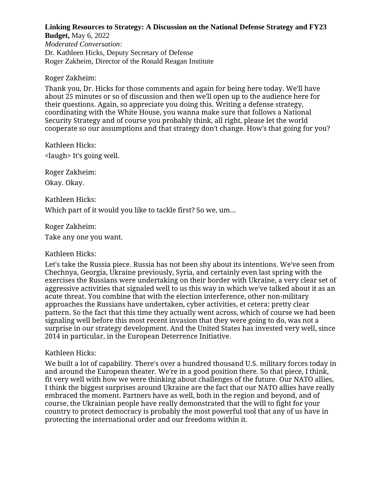**Budget,** May 6, 2022 *Moderated Conversation:* Dr. Kathleen Hicks, Deputy Secretary of Defense Roger Zakheim, Director of the Ronald Reagan Institute

#### Roger Zakheim:

Thank you, Dr. Hicks for those comments and again for being here today. We'll have about 25 minutes or so of discussion and then we'll open up to the audience here for their questions. Again, so appreciate you doing this. Writing a defense strategy, coordinating with the White House, you wanna make sure that follows a National Security Strategy and of course you probably think, all right, please let the world cooperate so our assumptions and that strategy don't change. How's that going for you?

Kathleen Hicks:

<laugh> It's going well.

Roger Zakheim: Okay. Okay.

Kathleen Hicks: Which part of it would you like to tackle first? So we, um...

Roger Zakheim: Take any one you want.

## Kathleen Hicks:

Let's take the Russia piece. Russia has not been shy about its intentions. We've seen from Chechnya, Georgia, Ukraine previously, Syria, and certainly even last spring with the exercises the Russians were undertaking on their border with Ukraine, a very clear set of aggressive activities that signaled well to us this way in which we've talked about it as an acute threat. You combine that with the election interference, other non-military approaches the Russians have undertaken, cyber activities, et cetera: pretty clear pattern. So the fact that this time they actually went across, which of course we had been signaling well before this most recent invasion that they were going to do, was not a surprise in our strategy development. And the United States has invested very well, since 2014 in particular, in the European Deterrence Initiative.

## Kathleen Hicks:

We built a lot of capability. There's over a hundred thousand U.S. military forces today in and around the European theater. We're in a good position there. So that piece, I think, fit very well with how we were thinking about challenges of the future. Our NATO allies, I think the biggest surprises around Ukraine are the fact that our NATO allies have really embraced the moment. Partners have as well, both in the region and beyond, and of course, the Ukrainian people have really demonstrated that the will to fight for your country to protect democracy is probably the most powerful tool that any of us have in protecting the international order and our freedoms within it.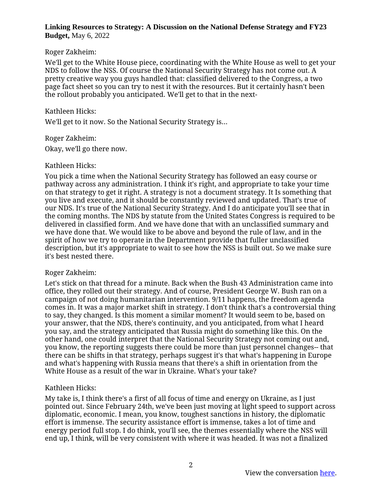## Roger Zakheim:

We'll get to the White House piece, coordinating with the White House as well to get your NDS to follow the NSS. Of course the National Security Strategy has not come out. A pretty creative way you guys handled that: classified delivered to the Congress, a two page fact sheet so you can try to nest it with the resources. But it certainly hasn't been the rollout probably you anticipated. We'll get to that in the next-

#### Kathleen Hicks:

We'll get to it now. So the National Security Strategy is...

#### Roger Zakheim:

Okay, we'll go there now.

#### Kathleen Hicks:

You pick a time when the National Security Strategy has followed an easy course or pathway across any administration. I think it's right, and appropriate to take your time on that strategy to get it right. A strategy is not a document strategy. It Is something that you live and execute, and it should be constantly reviewed and updated. That's true of our NDS. It's true of the National Security Strategy. And I do anticipate you'll see that in the coming months. The NDS by statute from the United States Congress is required to be delivered in classified form. And we have done that with an unclassified summary and we have done that. We would like to be above and beyond the rule of law, and in the spirit of how we try to operate in the Department provide that fuller unclassified description, but it's appropriate to wait to see how the NSS is built out. So we make sure it's best nested there.

## Roger Zakheim:

Let's stick on that thread for a minute. Back when the Bush 43 Administration came into office, they rolled out their strategy. And of course, President George W. Bush ran on a campaign of not doing humanitarian intervention. 9/11 happens, the freedom agenda comes in. It was a major market shift in strategy. I don't think that's a controversial thing to say, they changed. Is this moment a similar moment? It would seem to be, based on your answer, that the NDS, there's continuity, and you anticipated, from what I heard you say, and the strategy anticipated that Russia might do something like this. On the other hand, one could interpret that the National Security Strategy not coming out and, you know, the reporting suggests there could be more than just personnel changes-- that there can be shifts in that strategy, perhaps suggest it's that what's happening in Europe and what's happening with Russia means that there's a shift in orientation from the White House as a result of the war in Ukraine. What's your take?

## Kathleen Hicks:

My take is, I think there's a first of all focus of time and energy on Ukraine, as I just pointed out. Since February 24th, we've been just moving at light speed to support across diplomatic, economic. I mean, you know, toughest sanctions in history, the diplomatic effort is immense. The security assistance effort is immense, takes a lot of time and energy period full stop. I do think, you'll see, the themes essentially where the NSS will end up, I think, will be very consistent with where it was headed. It was not a finalized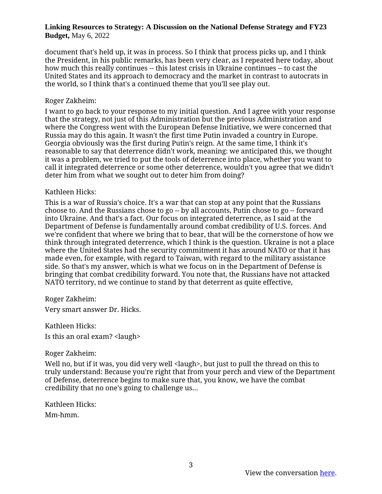document that's held up, it was in process. So I think that process picks up, and I think the President, in his public remarks, has been very clear, as I repeated here today, about how much this really continues -- this latest crisis in Ukraine continues -- to cast the United States and its approach to democracy and the market in contrast to autocrats in the world, so I think that's a continued theme that you'll see play out.

#### Roger Zakheim:

I want to go back to your response to my initial question. And I agree with your response that the strategy, not just of this Administration but the previous Administration and where the Congress went with the European Defense Initiative, we were concerned that Russia may do this again. It wasn't the first time Putin invaded a country in Europe. Georgia obviously was the first during Putin's reign. At the same time, I think it's reasonable to say that deterrence didn't work, meaning: we anticipated this, we thought it was a problem, we tried to put the tools of deterrence into place, whether you want to call it integrated deterrence or some other deterrence, wouldn't you agree that we didn't deter him from what we sought out to deter him from doing?

#### Kathleen Hicks:

This is a war of Russia's choice. It's a war that can stop at any point that the Russians choose to. And the Russians chose to go -- by all accounts, Putin chose to go -- forward into Ukraine. And that's a fact. Our focus on integrated deterrence, as I said at the Department of Defense is fundamentally around combat credibility of U.S. forces. And we're confident that where we bring that to bear, that will be the cornerstone of how we think through integrated deterrence, which I think is the question. Ukraine is not a place where the United States had the security commitment it has around NATO or that it has made even, for example, with regard to Taiwan, with regard to the military assistance side. So that's my answer, which is what we focus on in the Department of Defense is bringing that combat credibility forward. You note that, the Russians have not attacked NATO territory, nd we continue to stand by that deterrent as quite effective,

Roger Zakheim:

Very smart answer Dr. Hicks.

Kathleen Hicks:

Is this an oral exam? <laugh>

#### Roger Zakheim:

Well no, but if it was, you did very well <laugh>, but just to pull the thread on this to truly understand: Because you're right that from your perch and view of the Department of Defense, deterrence begins to make sure that, you know, we have the combat credibility that no one's going to challenge us...

Kathleen Hicks: Mm-hmm.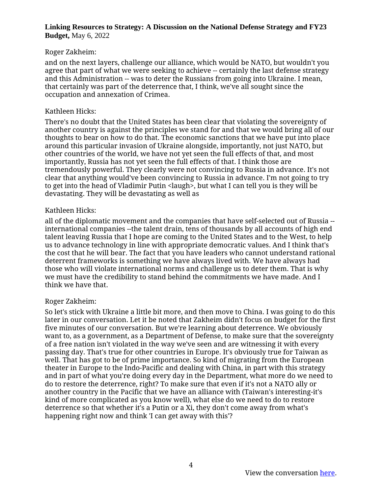#### Roger Zakheim:

and on the next layers, challenge our alliance, which would be NATO, but wouldn't you agree that part of what we were seeking to achieve -- certainly the last defense strategy and this Administration -- was to deter the Russians from going into Ukraine. I mean, that certainly was part of the deterrence that, I think, we've all sought since the occupation and annexation of Crimea.

#### Kathleen Hicks:

There's no doubt that the United States has been clear that violating the sovereignty of another country is against the principles we stand for and that we would bring all of our thoughts to bear on how to do that. The economic sanctions that we have put into place around this particular invasion of Ukraine alongside, importantly, not just NATO, but other countries of the world, we have not yet seen the full effects of that, and most importantly, Russia has not yet seen the full effects of that. I think those are tremendously powerful. They clearly were not convincing to Russia in advance. It's not clear that anything would've been convincing to Russia in advance. I'm not going to try to get into the head of Vladimir Putin <laugh>, but what I can tell you is they will be devastating. They will be devastating as well as

#### Kathleen Hicks:

all of the diplomatic movement and the companies that have self-selected out of Russia - international companies --the talent drain, tens of thousands by all accounts of high end talent leaving Russia that I hope are coming to the United States and to the West, to help us to advance technology in line with appropriate democratic values. And I think that's the cost that he will bear. The fact that you have leaders who cannot understand rational deterrent frameworks is something we have always lived with. We have always had those who will violate international norms and challenge us to deter them. That is why we must have the credibility to stand behind the commitments we have made. And I think we have that.

## Roger Zakheim:

So let's stick with Ukraine a little bit more, and then move to China. I was going to do this later in our conversation. Let it be noted that Zakheim didn't focus on budget for the first five minutes of our conversation. But we're learning about deterrence. We obviously want to, as a government, as a Department of Defense, to make sure that the sovereignty of a free nation isn't violated in the way we've seen and are witnessing it with every passing day. That's true for other countries in Europe. It's obviously true for Taiwan as well. That has got to be of prime importance. So kind of migrating from the European theater in Europe to the Indo-Pacific and dealing with China, in part with this strategy and in part of what you're doing every day in the Department, what more do we need to do to restore the deterrence, right? To make sure that even if it's not a NATO ally or another country in the Pacific that we have an alliance with (Taiwan's interesting-it's kind of more complicated as you know well), what else do we need to do to restore deterrence so that whether it's a Putin or a Xi, they don't come away from what's happening right now and think 'I can get away with this'?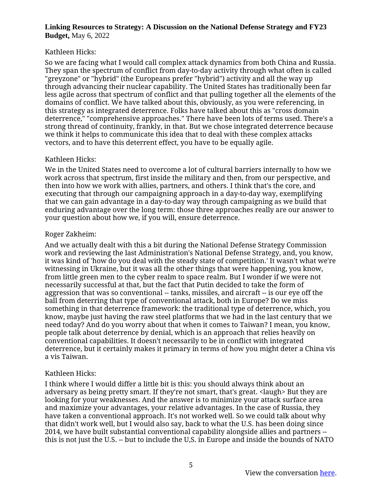## Kathleen Hicks:

So we are facing what I would call complex attack dynamics from both China and Russia. They span the spectrum of conflict from day-to-day activity through what often is called "greyzone" or "hybrid" (the Europeans prefer "hybrid") activity and all the way up through advancing their nuclear capability. The United States has traditionally been far less agile across that spectrum of conflict and that pulling together all the elements of the domains of conflict. We have talked about this, obviously, as you were referencing, in this strategy as integrated deterrence. Folks have talked about this as "cross domain deterrence," "comprehensive approaches." There have been lots of terms used. There's a strong thread of continuity, frankly, in that. But we chose integrated deterrence because we think it helps to communicate this idea that to deal with these complex attacks vectors, and to have this deterrent effect, you have to be equally agile.

## Kathleen Hicks:

We in the United States need to overcome a lot of cultural barriers internally to how we work across that spectrum, first inside the military and then, from our perspective, and then into how we work with allies, partners, and others. I think that's the core, and executing that through our campaigning approach in a day-to-day way, exemplifying that we can gain advantage in a day-to-day way through campaigning as we build that enduring advantage over the long term: those three approaches really are our answer to your question about how we, if you will, ensure deterrence.

# Roger Zakheim:

And we actually dealt with this a bit during the National Defense Strategy Commission work and reviewing the last Administration's National Defense Strategy, and, you know, it was kind of 'how do you deal with the steady state of competition.' It wasn't what we're witnessing in Ukraine, but it was all the other things that were happening, you know, from little green men to the cyber realm to space realm. But I wonder if we were not necessarily successful at that, but the fact that Putin decided to take the form of aggression that was so conventional -- tanks, missiles, and aircraft -- is our eye off the ball from deterring that type of conventional attack, both in Europe? Do we miss something in that deterrence framework: the traditional type of deterrence, which, you know, maybe just having the raw steel platforms that we had in the last century that we need today? And do you worry about that when it comes to Taiwan? I mean, you know, people talk about deterrence by denial, which is an approach that relies heavily on conventional capabilities. It doesn't necessarily to be in conflict with integrated deterrence, but it certainly makes it primary in terms of how you might deter a China vis a vis Taiwan.

## Kathleen Hicks:

I think where I would differ a little bit is this: you should always think about an adversary as being pretty smart. If they're not smart, that's great. <laugh> But they are looking for your weaknesses. And the answer is to minimize your attack surface area and maximize your advantages, your relative advantages. In the case of Russia, they have taken a conventional approach. It's not worked well. So we could talk about why that didn't work well, but I would also say, back to what the U.S. has been doing since 2014, we have built substantial conventional capability alongside allies and partners - this is not just the U.S. -- but to include the U,S. in Europe and inside the bounds of NATO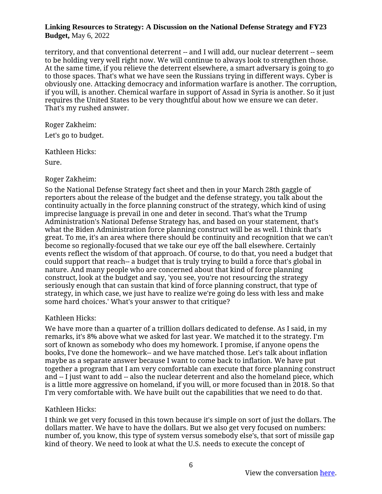territory, and that conventional deterrent -- and I will add, our nuclear deterrent -- seem to be holding very well right now. We will continue to always look to strengthen those. At the same time, if you relieve the deterrent elsewhere, a smart adversary is going to go to those spaces. That's what we have seen the Russians trying in different ways. Cyber is obviously one. Attacking democracy and information warfare is another. The corruption, if you will, is another. Chemical warfare in support of Assad in Syria is another. So it just requires the United States to be very thoughtful about how we ensure we can deter. That's my rushed answer.

Roger Zakheim: Let's go to budget.

Kathleen Hicks:

Sure.

## Roger Zakheim:

So the National Defense Strategy fact sheet and then in your March 28th gaggle of reporters about the release of the budget and the defense strategy, you talk about the continuity actually in the force planning construct of the strategy, which kind of using imprecise language is prevail in one and deter in second. That's what the Trump Administration's National Defense Strategy has, and based on your statement, that's what the Biden Administration force planning construct will be as well. I think that's great. To me, it's an area where there should be continuity and recognition that we can't become so regionally-focused that we take our eye off the ball elsewhere. Certainly events reflect the wisdom of that approach. Of course, to do that, you need a budget that could support that reach-- a budget that is truly trying to build a force that's global in nature. And many people who are concerned about that kind of force planning construct, look at the budget and say, 'you see, you're not resourcing the strategy seriously enough that can sustain that kind of force planning construct, that type of strategy, in which case, we just have to realize we're going do less with less and make some hard choices.' What's your answer to that critique?

## Kathleen Hicks:

We have more than a quarter of a trillion dollars dedicated to defense. As I said, in my remarks, it's 8% above what we asked for last year. We matched it to the strategy. I'm sort of known as somebody who does my homework. I promise, if anyone opens the books, I've done the homework-- and we have matched those. Let's talk about inflation maybe as a separate answer because I want to come back to inflation. We have put together a program that I am very comfortable can execute that force planning construct and -- I just want to add -- also the nuclear deterrent and also the homeland piece, which is a little more aggressive on homeland, if you will, or more focused than in 2018. So that I'm very comfortable with. We have built out the capabilities that we need to do that.

## Kathleen Hicks:

I think we get very focused in this town because it's simple on sort of just the dollars. The dollars matter. We have to have the dollars. But we also get very focused on numbers: number of, you know, this type of system versus somebody else's, that sort of missile gap kind of theory. We need to look at what the U.S. needs to execute the concept of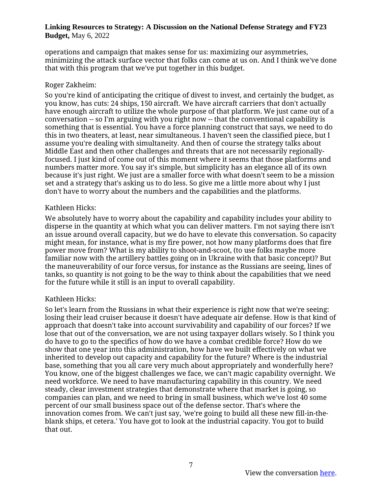operations and campaign that makes sense for us: maximizing our asymmetries, minimizing the attack surface vector that folks can come at us on. And I think we've done that with this program that we've put together in this budget.

#### Roger Zakheim:

So you're kind of anticipating the critique of divest to invest, and certainly the budget, as you know, has cuts: 24 ships, 150 aircraft. We have aircraft carriers that don't actually have enough aircraft to utilize the whole purpose of that platform. We just came out of a conversation -- so I'm arguing with you right now -- that the conventional capability is something that is essential. You have a force planning construct that says, we need to do this in two theaters, at least, near simultaneous. I haven't seen the classified piece, but I assume you're dealing with simultaneity. And then of course the strategy talks about Middle East and then other challenges and threats that are not necessarily regionallyfocused. I just kind of come out of this moment where it seems that those platforms and numbers matter more. You say it's simple, but simplicity has an elegance all of its own because it's just right. We just are a smaller force with what doesn't seem to be a mission set and a strategy that's asking us to do less. So give me a little more about why I just don't have to worry about the numbers and the capabilities and the platforms.

#### Kathleen Hicks:

We absolutely have to worry about the capability and capability includes your ability to disperse in the quantity at which what you can deliver matters. I'm not saying there isn't an issue around overall capacity, but we do have to elevate this conversation. So capacity might mean, for instance, what is my fire power, not how many platforms does that fire power move from? What is my ability to shoot-and-scoot, (to use folks maybe more familiar now with the artillery battles going on in Ukraine with that basic concept)? But the maneuverability of our force versus, for instance as the Russians are seeing, lines of tanks, so quantity is not going to be the way to think about the capabilities that we need for the future while it still is an input to overall capability.

## Kathleen Hicks:

So let's learn from the Russians in what their experience is right now that we're seeing: losing their lead cruiser because it doesn't have adequate air defense. How is that kind of approach that doesn't take into account survivability and capability of our forces? If we lose that out of the conversation, we are not using taxpayer dollars wisely. So I think you do have to go to the specifics of how do we have a combat credible force? How do we show that one year into this administration, how have we built effectively on what we inherited to develop out capacity and capability for the future? Where is the industrial base, something that you all care very much about appropriately and wonderfully here? You know, one of the biggest challenges we face, we can't magic capability overnight. We need workforce. We need to have manufacturing capability in this country. We need steady, clear investment strategies that demonstrate where that market is going, so companies can plan, and we need to bring in small business, which we've lost 40 some percent of our small business space out of the defense sector. That's where the innovation comes from. We can't just say, 'we're going to build all these new fill-in-theblank ships, et cetera.' You have got to look at the industrial capacity. You got to build that out.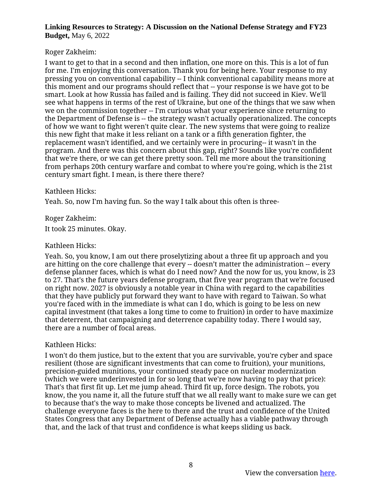## Roger Zakheim:

I want to get to that in a second and then inflation, one more on this. This is a lot of fun for me. I'm enjoying this conversation. Thank you for being here. Your response to my pressing you on conventional capability -- I think conventional capability means more at this moment and our programs should reflect that -- your response is we have got to be smart. Look at how Russia has failed and is failing. They did not succeed in Kiev. We'll see what happens in terms of the rest of Ukraine, but one of the things that we saw when we on the commission together -- I'm curious what your experience since returning to the Department of Defense is -- the strategy wasn't actually operationalized. The concepts of how we want to fight weren't quite clear. The new systems that were going to realize this new fight that make it less reliant on a tank or a fifth generation fighter, the replacement wasn't identified, and we certainly were in procuring-- it wasn't in the program. And there was this concern about this gap, right? Sounds like you're confident that we're there, or we can get there pretty soon. Tell me more about the transitioning from perhaps 20th century warfare and combat to where you're going, which is the 21st century smart fight. I mean, is there there there?

#### Kathleen Hicks:

Yeah. So, now I'm having fun. So the way I talk about this often is three-

Roger Zakheim:

It took 25 minutes. Okay.

#### Kathleen Hicks:

Yeah. So, you know, I am out there proselytizing about a three fit up approach and you are hitting on the core challenge that every -- doesn't matter the administration -- every defense planner faces, which is what do I need now? And the now for us, you know, is 23 to 27. That's the future years defense program, that five year program that we're focused on right now. 2027 is obviously a notable year in China with regard to the capabilities that they have publicly put forward they want to have with regard to Taiwan. So what you're faced with in the immediate is what can I do, which is going to be less on new capital investment (that takes a long time to come to fruition) in order to have maximize that deterrent, that campaigning and deterrence capability today. There I would say, there are a number of focal areas.

## Kathleen Hicks:

I won't do them justice, but to the extent that you are survivable, you're cyber and space resilient (those are significant investments that can come to fruition), your munitions, precision-guided munitions, your continued steady pace on nuclear modernization (which we were underinvested in for so long that we're now having to pay that price): That's that first fit up. Let me jump ahead. Third fit up, force design. The robots, you know, the you name it, all the future stuff that we all really want to make sure we can get to because that's the way to make those concepts be livened and actualized. The challenge everyone faces is the here to there and the trust and confidence of the United States Congress that any Department of Defense actually has a viable pathway through that, and the lack of that trust and confidence is what keeps sliding us back.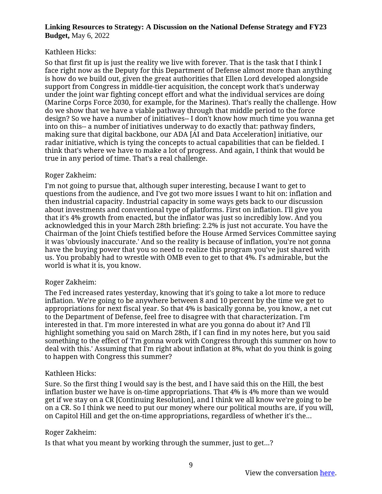## Kathleen Hicks:

So that first fit up is just the reality we live with forever. That is the task that I think I face right now as the Deputy for this Department of Defense almost more than anything is how do we build out, given the great authorities that Ellen Lord developed alongside support from Congress in middle-tier acquisition, the concept work that's underway under the joint war fighting concept effort and what the individual services are doing (Marine Corps Force 2030, for example, for the Marines). That's really the challenge. How do we show that we have a viable pathway through that middle period to the force design? So we have a number of initiatives-- I don't know how much time you wanna get into on this-- a number of initiatives underway to do exactly that: pathway finders, making sure that digital backbone, our ADA [AI and Data Acceleration] initiative, our radar initiative, which is tying the concepts to actual capabilities that can be fielded. I think that's where we have to make a lot of progress. And again, I think that would be true in any period of time. That's a real challenge.

## Roger Zakheim:

I'm not going to pursue that, although super interesting, because I want to get to questions from the audience, and I've got two more issues I want to hit on: inflation and then industrial capacity. Industrial capacity in some ways gets back to our discussion about investments and conventional type of platforms. First on inflation. I'll give you that it's 4% growth from enacted, but the inflator was just so incredibly low. And you acknowledged this in your March 28th briefing: 2.2% is just not accurate. You have the Chairman of the Joint Chiefs testified before the House Armed Services Committee saying it was 'obviously inaccurate.' And so the reality is because of inflation, you're not gonna have the buying power that you so need to realize this program you've just shared with us. You probably had to wrestle with OMB even to get to that 4%. I's admirable, but the world is what it is, you know.

## Roger Zakheim:

The Fed increased rates yesterday, knowing that it's going to take a lot more to reduce inflation. We're going to be anywhere between 8 and 10 percent by the time we get to appropriations for next fiscal year. So that 4% is basically gonna be, you know, a net cut to the Department of Defense, feel free to disagree with that characterization. I'm interested in that. I'm more interested in what are you gonna do about it? And I'll highlight something you said on March 28th, if I can find in my notes here, but you said something to the effect of 'I'm gonna work with Congress through this summer on how to deal with this.' Assuming that I'm right about inflation at 8%, what do you think is going to happen with Congress this summer?

#### Kathleen Hicks:

Sure. So the first thing I would say is the best, and I have said this on the Hill, the best inflation buster we have is on-time appropriations. That 4% is 4% more than we would get if we stay on a CR [Continuing Resolution], and I think we all know we're going to be on a CR. So I think we need to put our money where our political mouths are, if you will, on Capitol Hill and get the on-time appropriations, regardless of whether it's the...

## Roger Zakheim:

Is that what you meant by working through the summer, just to get...?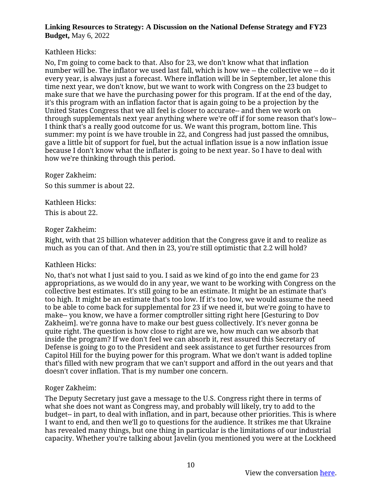## Kathleen Hicks:

No, I'm going to come back to that. Also for 23, we don't know what that inflation number will be. The inflator we used last fall, which is how we -- the collective we -- do it every year, is always just a forecast. Where inflation will be in September, let alone this time next year, we don't know, but we want to work with Congress on the 23 budget to make sure that we have the purchasing power for this program. If at the end of the day, it's this program with an inflation factor that is again going to be a projection by the United States Congress that we all feel is closer to accurate-- and then we work on through supplementals next year anything where we're off if for some reason that's low-- I think that's a really good outcome for us. We want this program, bottom line. This summer: my point is we have trouble in 22, and Congress had just passed the omnibus, gave a little bit of support for fuel, but the actual inflation issue is a now inflation issue because I don't know what the inflater is going to be next year. So I have to deal with how we're thinking through this period.

Roger Zakheim: So this summer is about 22.

Kathleen Hicks: This is about 22.

## Roger Zakheim:

Right, with that 25 billion whatever addition that the Congress gave it and to realize as much as you can of that. And then in 23, you're still optimistic that 2.2 will hold?

# Kathleen Hicks:

No, that's not what I just said to you. I said as we kind of go into the end game for 23 appropriations, as we would do in any year, we want to be working with Congress on the collective best estimates. It's still going to be an estimate. It might be an estimate that's too high. It might be an estimate that's too low. If it's too low, we would assume the need to be able to come back for supplemental for 23 if we need it, but we're going to have to make-- you know, we have a former comptroller sitting right here [Gesturing to Dov Zakheim]. we're gonna have to make our best guess collectively. It's never gonna be quite right. The question is how close to right are we, how much can we absorb that inside the program? If we don't feel we can absorb it, rest assured this Secretary of Defense is going to go to the President and seek assistance to get further resources from Capitol Hill for the buying power for this program. What we don't want is added topline that's filled with new program that we can't support and afford in the out years and that doesn't cover inflation. That is my number one concern.

## Roger Zakheim:

The Deputy Secretary just gave a message to the U.S. Congress right there in terms of what she does not want as Congress may, and probably will likely, try to add to the budget-- in part, to deal with inflation, and in part, because other priorities. This is where I want to end, and then we'll go to questions for the audience. It strikes me that Ukraine has revealed many things, but one thing in particular is the limitations of our industrial capacity. Whether you're talking about Javelin (you mentioned you were at the Lockheed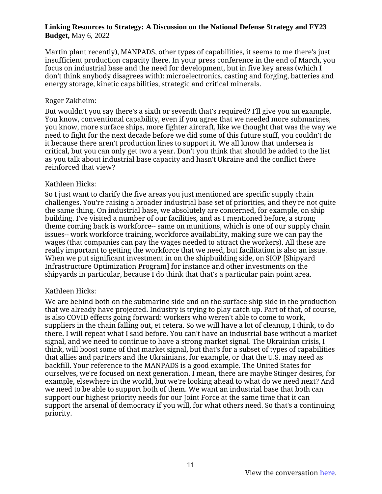Martin plant recently), MANPADS, other types of capabilities, it seems to me there's just insufficient production capacity there. In your press conference in the end of March, you focus on industrial base and the need for development, but in five key areas (which I don't think anybody disagrees with): microelectronics, casting and forging, batteries and energy storage, kinetic capabilities, strategic and critical minerals.

#### Roger Zakheim:

But wouldn't you say there's a sixth or seventh that's required? I'll give you an example. You know, conventional capability, even if you agree that we needed more submarines, you know, more surface ships, more fighter aircraft, like we thought that was the way we need to fight for the next decade before we did some of this future stuff, you couldn't do it because there aren't production lines to support it. We all know that undersea is critical, but you can only get two a year. Don't you think that should be added to the list as you talk about industrial base capacity and hasn't Ukraine and the conflict there reinforced that view?

#### Kathleen Hicks:

So I just want to clarify the five areas you just mentioned are specific supply chain challenges. You're raising a broader industrial base set of priorities, and they're not quite the same thing. On industrial base, we absolutely are concerned, for example, on ship building. I've visited a number of our facilities, and as I mentioned before, a strong theme coming back is workforce-- same on munitions, which is one of our supply chain issues-- work workforce training, workforce availability, making sure we can pay the wages (that companies can pay the wages needed to attract the workers). All these are really important to getting the workforce that we need, but facilitation is also an issue. When we put significant investment in on the shipbuilding side, on SIOP [Shipyard Infrastructure Optimization Program] for instance and other investments on the shipyards in particular, because I do think that that's a particular pain point area.

## Kathleen Hicks:

We are behind both on the submarine side and on the surface ship side in the production that we already have projected. Industry is trying to play catch up. Part of that, of course, is also COVID effects going forward: workers who weren't able to come to work, suppliers in the chain falling out, et cetera. So we will have a lot of cleanup, I think, to do there. I will repeat what I said before. You can't have an industrial base without a market signal, and we need to continue to have a strong market signal. The Ukrainian crisis, I think, will boost some of that market signal, but that's for a subset of types of capabilities that allies and partners and the Ukrainians, for example, or that the U.S. may need as backfill. Your reference to the MANPADS is a good example. The United States for ourselves, we're focused on next generation. I mean, there are maybe Stinger desires, for example, elsewhere in the world, but we're looking ahead to what do we need next? And we need to be able to support both of them. We want an industrial base that both can support our highest priority needs for our Joint Force at the same time that it can support the arsenal of democracy if you will, for what others need. So that's a continuing priority.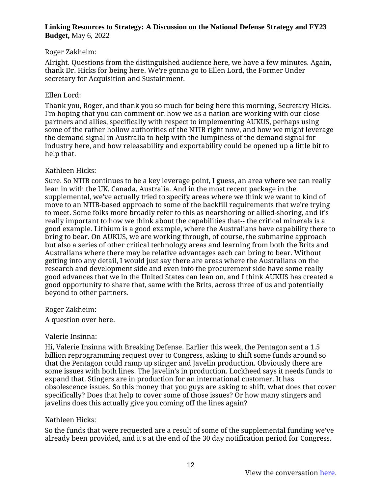## Roger Zakheim:

Alright. Questions from the distinguished audience here, we have a few minutes. Again, thank Dr. Hicks for being here. We're gonna go to Ellen Lord, the Former Under secretary for Acquisition and Sustainment.

#### Ellen Lord:

Thank you, Roger, and thank you so much for being here this morning, Secretary Hicks. I'm hoping that you can comment on how we as a nation are working with our close partners and allies, specifically with respect to implementing AUKUS, perhaps using some of the rather hollow authorities of the NTIB right now, and how we might leverage the demand signal in Australia to help with the lumpiness of the demand signal for industry here, and how releasability and exportability could be opened up a little bit to help that.

#### Kathleen Hicks:

Sure. So NTIB continues to be a key leverage point, I guess, an area where we can really lean in with the UK, Canada, Australia. And in the most recent package in the supplemental, we've actually tried to specify areas where we think we want to kind of move to an NTIB-based approach to some of the backfill requirements that we're trying to meet. Some folks more broadly refer to this as nearshoring or allied-shoring, and it's really important to how we think about the capabilities that-- the critical minerals is a good example. Lithium is a good example, where the Australians have capability there to bring to bear. On AUKUS, we are working through, of course, the submarine approach but also a series of other critical technology areas and learning from both the Brits and Australians where there may be relative advantages each can bring to bear. Without getting into any detail, I would just say there are areas where the Australians on the research and development side and even into the procurement side have some really good advances that we in the United States can lean on, and I think AUKUS has created a good opportunity to share that, same with the Brits, across three of us and potentially beyond to other partners.

#### Roger Zakheim:

A question over here.

## Valerie Insinna:

Hi, Valerie Insinna with Breaking Defense. Earlier this week, the Pentagon sent a 1.5 billion reprogramming request over to Congress, asking to shift some funds around so that the Pentagon could ramp up stinger and Javelin production. Obviously there are some issues with both lines. The Javelin's in production. Lockheed says it needs funds to expand that. Stingers are in production for an international customer. It has obsolescence issues. So this money that you guys are asking to shift, what does that cover specifically? Does that help to cover some of those issues? Or how many stingers and javelins does this actually give you coming off the lines again?

## Kathleen Hicks:

So the funds that were requested are a result of some of the supplemental funding we've already been provided, and it's at the end of the 30 day notification period for Congress.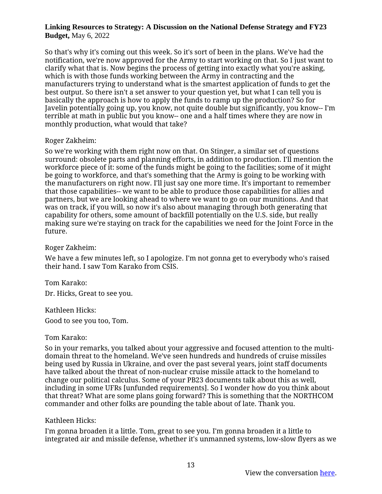So that's why it's coming out this week. So it's sort of been in the plans. We've had the notification, we're now approved for the Army to start working on that. So I just want to clarify what that is. Now begins the process of getting into exactly what you're asking, which is with those funds working between the Army in contracting and the manufacturers trying to understand what is the smartest application of funds to get the best output. So there isn't a set answer to your question yet, but what I can tell you is basically the approach is how to apply the funds to ramp up the production? So for Javelin potentially going up, you know, not quite double but significantly, you know-- I'm terrible at math in public but you know-- one and a half times where they are now in monthly production, what would that take?

## Roger Zakheim:

So we're working with them right now on that. On Stinger, a similar set of questions surround: obsolete parts and planning efforts, in addition to production. I'll mention the workforce piece of it: some of the funds might be going to the facilities; some of it might be going to workforce, and that's something that the Army is going to be working with the manufacturers on right now. I'll just say one more time. It's important to remember that those capabilities-- we want to be able to produce those capabilities for allies and partners, but we are looking ahead to where we want to go on our munitions. And that was on track, if you will, so now it's also about managing through both generating that capability for others, some amount of backfill potentially on the U.S. side, but really making sure we're staying on track for the capabilities we need for the Joint Force in the future.

#### Roger Zakheim:

We have a few minutes left, so I apologize. I'm not gonna get to everybody who's raised their hand. I saw Tom Karako from CSIS.

Tom Karako:

Dr. Hicks, Great to see you.

#### Kathleen Hicks:

Good to see you too, Tom.

## Tom Karako:

So in your remarks, you talked about your aggressive and focused attention to the multidomain threat to the homeland. We've seen hundreds and hundreds of cruise missiles being used by Russia in Ukraine, and over the past several years, joint staff documents have talked about the threat of non-nuclear cruise missile attack to the homeland to change our political calculus. Some of your PB23 documents talk about this as well, including in some UFRs [unfunded requirements]. So I wonder how do you think about that threat? What are some plans going forward? This is something that the NORTHCOM commander and other folks are pounding the table about of late. Thank you.

## Kathleen Hicks:

I'm gonna broaden it a little. Tom, great to see you. I'm gonna broaden it a little to integrated air and missile defense, whether it's unmanned systems, low-slow flyers as we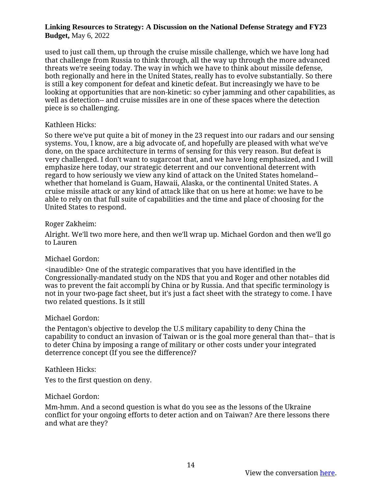used to just call them, up through the cruise missile challenge, which we have long had that challenge from Russia to think through, all the way up through the more advanced threats we're seeing today. The way in which we have to think about missile defense, both regionally and here in the United States, really has to evolve substantially. So there is still a key component for defeat and kinetic defeat. But increasingly we have to be looking at opportunities that are non-kinetic: so cyber jamming and other capabilities, as well as detection-- and cruise missiles are in one of these spaces where the detection piece is so challenging.

## Kathleen Hicks:

So there we've put quite a bit of money in the 23 request into our radars and our sensing systems. You, I know, are a big advocate of, and hopefully are pleased with what we've done, on the space architecture in terms of sensing for this very reason. But defeat is very challenged. I don't want to sugarcoat that, and we have long emphasized, and I will emphasize here today, our strategic deterrent and our conventional deterrent with regard to how seriously we view any kind of attack on the United States homeland- whether that homeland is Guam, Hawaii, Alaska, or the continental United States. A cruise missile attack or any kind of attack like that on us here at home: we have to be able to rely on that full suite of capabilities and the time and place of choosing for the United States to respond.

# Roger Zakheim:

Alright. We'll two more here, and then we'll wrap up. Michael Gordon and then we'll go to Lauren

# Michael Gordon:

<inaudible> One of the strategic comparatives that you have identified in the Congressionally-mandated study on the NDS that you and Roger and other notables did was to prevent the fait accompli by China or by Russia. And that specific terminology is not in your two-page fact sheet, but it's just a fact sheet with the strategy to come. I have two related questions. Is it still

## Michael Gordon:

the Pentagon's objective to develop the U.S military capability to deny China the capability to conduct an invasion of Taiwan or is the goal more general than that-- that is to deter China by imposing a range of military or other costs under your integrated deterrence concept (If you see the difference)?

## Kathleen Hicks:

Yes to the first question on deny.

# Michael Gordon:

Mm-hmm. And a second question is what do you see as the lessons of the Ukraine conflict for your ongoing efforts to deter action and on Taiwan? Are there lessons there and what are they?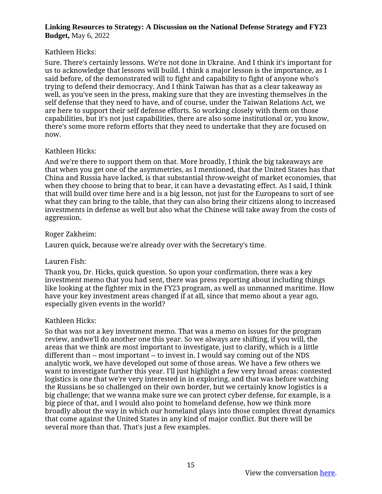## Kathleen Hicks:

Sure. There's certainly lessons. We're not done in Ukraine. And I think it's important for us to acknowledge that lessons will build. I think a major lesson is the importance, as I said before, of the demonstrated will to fight and capability to fight of anyone who's trying to defend their democracy. And I think Taiwan has that as a clear takeaway as well, as you've seen in the press, making sure that they are investing themselves in the self defense that they need to have, and of course, under the Taiwan Relations Act, we are here to support their self defense efforts. So working closely with them on those capabilities, but it's not just capabilities, there are also some institutional or, you know, there's some more reform efforts that they need to undertake that they are focused on now.

# Kathleen Hicks:

And we're there to support them on that. More broadly, I think the big takeaways are that when you get one of the asymmetries, as I mentioned, that the United States has that China and Russia have lacked, is that substantial throw-weight of market economies, that when they choose to bring that to bear, it can have a devastating effect. As I said, I think that will build over time here and is a big lesson, not just for the Europeans to sort of see what they can bring to the table, that they can also bring their citizens along to increased investments in defense as well but also what the Chinese will take away from the costs of aggression.

## Roger Zakheim:

Lauren quick, because we're already over with the Secretary's time.

## Lauren Fish:

Thank you, Dr. Hicks, quick question. So upon your confirmation, there was a key investment memo that you had sent, there was press reporting about including things like looking at the fighter mix in the FY23 program, as well as unmanned maritime. How have your key investment areas changed if at all, since that memo about a year ago, especially given events in the world?

## Kathleen Hicks:

So that was not a key investment memo. That was a memo on issues for the program review, andwe'll do another one this year. So we always are shifting, if you will, the areas that we think are most important to investigate, just to clarify, which is a little different than -- most important -- to invest in. I would say coming out of the NDS analytic work, we have developed out some of those areas. We have a few others we want to investigate further this year. I'll just highlight a few very broad areas: contested logistics is one that we're very interested in in exploring, and that was before watching the Russians be so challenged on their own border, but we certainly know logistics is a big challenge; that we wanna make sure we can protect cyber defense, for example, is a big piece of that, and I would also point to homeland defense, how we think more broadly about the way in which our homeland plays into those complex threat dynamics that come against the United States in any kind of major conflict. But there will be several more than that. That's just a few examples.